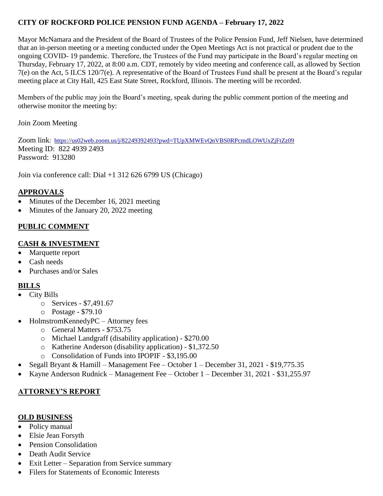## **CITY OF ROCKFORD POLICE PENSION FUND AGENDA – February 17, 2022**

Mayor McNamara and the President of the Board of Trustees of the Police Pension Fund, Jeff Nielsen, have determined that an in-person meeting or a meeting conducted under the Open Meetings Act is not practical or prudent due to the ongoing COVID- 19 pandemic. Therefore, the Trustees of the Fund may participate in the Board's regular meeting on Thursday, February 17, 2022, at 8:00 a.m. CDT, remotely by video meeting and conference call, as allowed by Section 7(e) on the Act, 5 ILCS 120/7(e). A representative of the Board of Trustees Fund shall be present at the Board's regular meeting place at City Hall, 425 East State Street, Rockford, Illinois. The meeting will be recorded.

Members of the public may join the Board's meeting, speak during the public comment portion of the meeting and otherwise monitor the meeting by:

Join Zoom Meeting

Zoom link: <https://us02web.zoom.us/j/82249392493?pwd=TUpXMWEvQnVBS0RPcmdLOWUxZjFtZz09> Meeting ID: 822 4939 2493 Password: 913280

Join via conference call: Dial +1 312 626 6799 US (Chicago)

# **APPROVALS**

- Minutes of the December 16, 2021 meeting
- Minutes of the January 20, 2022 meeting

## **PUBLIC COMMENT**

#### **CASH & INVESTMENT**

- Marquette report
- Cash needs
- Purchases and/or Sales

## **BILLS**

- City Bills
	- o Services \$7,491.67
	- o Postage \$79.10
- HolmstromKennedyPC Attorney fees
	- o General Matters \$753.75
	- o Michael Landgraff (disability application) \$270.00
	- o Katherine Anderson (disability application) \$1,372.50
	- o Consolidation of Funds into IPOPIF \$3,195.00
- Segall Bryant & Hamill Management Fee October 1 December 31, 2021 \$19,775.35
- Kayne Anderson Rudnick Management Fee October 1 December 31, 2021 \$31,255.97

## **ATTORNEY'S REPORT**

## **OLD BUSINESS**

- Policy manual
- Elsie Jean Forsyth
- Pension Consolidation
- Death Audit Service
- Exit Letter Separation from Service summary
- Filers for Statements of Economic Interests